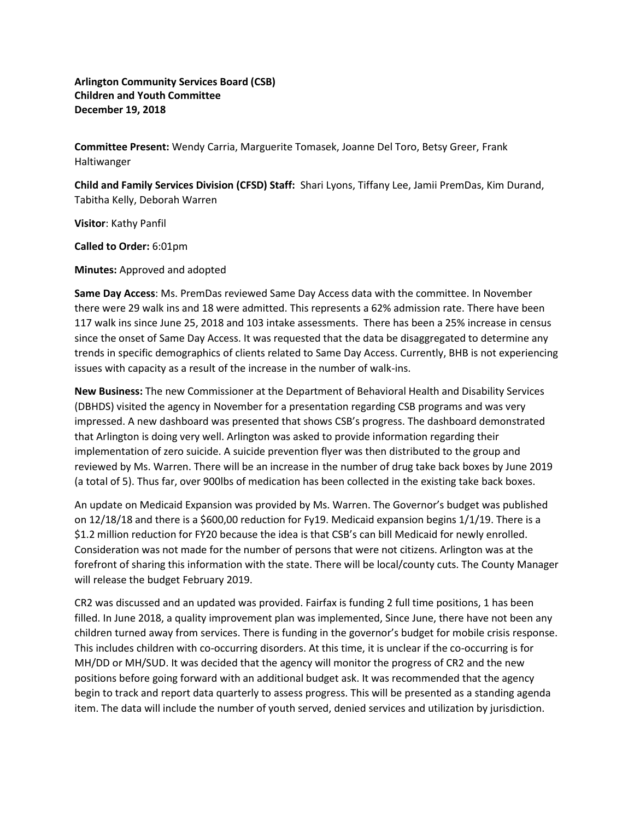**Arlington Community Services Board (CSB) Children and Youth Committee December 19, 2018**

**Committee Present:** Wendy Carria, Marguerite Tomasek, Joanne Del Toro, Betsy Greer, Frank Haltiwanger

**Child and Family Services Division (CFSD) Staff:** Shari Lyons, Tiffany Lee, Jamii PremDas, Kim Durand, Tabitha Kelly, Deborah Warren

**Visitor**: Kathy Panfil

**Called to Order:** 6:01pm

**Minutes:** Approved and adopted

**Same Day Access**: Ms. PremDas reviewed Same Day Access data with the committee. In November there were 29 walk ins and 18 were admitted. This represents a 62% admission rate. There have been 117 walk ins since June 25, 2018 and 103 intake assessments. There has been a 25% increase in census since the onset of Same Day Access. It was requested that the data be disaggregated to determine any trends in specific demographics of clients related to Same Day Access. Currently, BHB is not experiencing issues with capacity as a result of the increase in the number of walk-ins.

**New Business:** The new Commissioner at the Department of Behavioral Health and Disability Services (DBHDS) visited the agency in November for a presentation regarding CSB programs and was very impressed. A new dashboard was presented that shows CSB's progress. The dashboard demonstrated that Arlington is doing very well. Arlington was asked to provide information regarding their implementation of zero suicide. A suicide prevention flyer was then distributed to the group and reviewed by Ms. Warren. There will be an increase in the number of drug take back boxes by June 2019 (a total of 5). Thus far, over 900lbs of medication has been collected in the existing take back boxes.

An update on Medicaid Expansion was provided by Ms. Warren. The Governor's budget was published on 12/18/18 and there is a \$600,00 reduction for Fy19. Medicaid expansion begins 1/1/19. There is a \$1.2 million reduction for FY20 because the idea is that CSB's can bill Medicaid for newly enrolled. Consideration was not made for the number of persons that were not citizens. Arlington was at the forefront of sharing this information with the state. There will be local/county cuts. The County Manager will release the budget February 2019.

CR2 was discussed and an updated was provided. Fairfax is funding 2 full time positions, 1 has been filled. In June 2018, a quality improvement plan was implemented, Since June, there have not been any children turned away from services. There is funding in the governor's budget for mobile crisis response. This includes children with co-occurring disorders. At this time, it is unclear if the co-occurring is for MH/DD or MH/SUD. It was decided that the agency will monitor the progress of CR2 and the new positions before going forward with an additional budget ask. It was recommended that the agency begin to track and report data quarterly to assess progress. This will be presented as a standing agenda item. The data will include the number of youth served, denied services and utilization by jurisdiction.